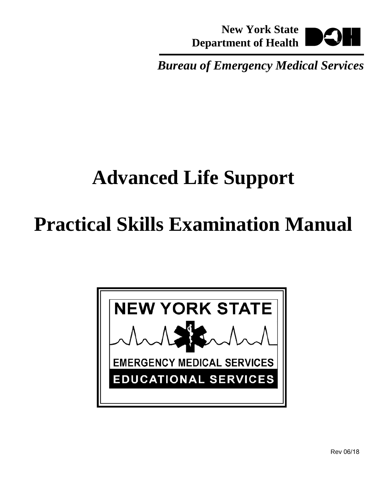**New York State Department of Health** 

*Bureau of Emergency Medical Services* 

# **Advanced Life Support**

# **Practical Skills Examination Manual**

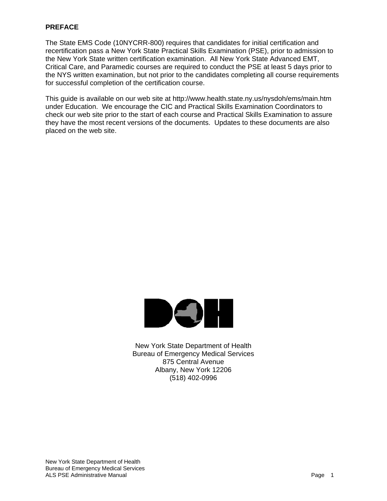#### **PREFACE**

The State EMS Code (10NYCRR-800) requires that candidates for initial certification and recertification pass a New York State Practical Skills Examination (PSE), prior to admission to the New York State written certification examination. All New York State Advanced EMT, Critical Care, and Paramedic courses are required to conduct the PSE at least 5 days prior to the NYS written examination, but not prior to the candidates completing all course requirements for successful completion of the certification course.

This guide is available on our web site at http://www.health.state.ny.us/nysdoh/ems/main.htm under Education. We encourage the CIC and Practical Skills Examination Coordinators to check our web site prior to the start of each course and Practical Skills Examination to assure they have the most recent versions of the documents. Updates to these documents are also placed on the web site.



New York State Department of Health Bureau of Emergency Medical Services 875 Central Avenue Albany, New York 12206 (518) 402-0996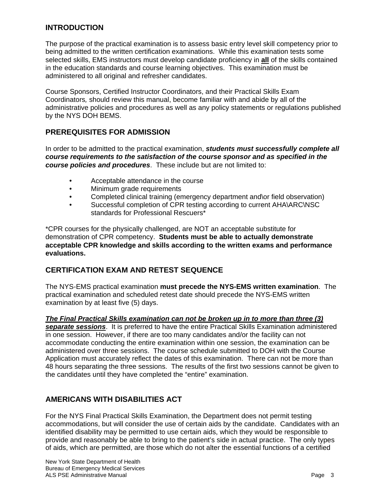# **INTRODUCTION**

The purpose of the practical examination is to assess basic entry level skill competency prior to being admitted to the written certification examinations. While this examination tests some selected skills, EMS instructors must develop candidate proficiency in **all** of the skills contained in the education standards and course learning objectives. This examination must be administered to all original and refresher candidates.

Course Sponsors, Certified Instructor Coordinators, and their Practical Skills Exam Coordinators*,* should review this manual, become familiar with and abide by all of the administrative policies and procedures as well as any policy statements or regulations published by the NYS DOH BEMS.

# **PREREQUISITES FOR ADMISSION**

In order to be admitted to the practical examination, *students must successfully complete all course requirements to the satisfaction of the course sponsor and as specified in the course policies and procedures*. These include but are not limited to:

- Acceptable attendance in the course
- Minimum grade requirements
- Completed clinical training (emergency department and\or field observation)
- Successful completion of CPR testing according to current AHA\ARC\NSC standards for Professional Rescuers<sup>\*</sup>

\*CPR courses for the physically challenged, are NOT an acceptable substitute for demonstration of CPR competency. **Students must be able to actually demonstrate acceptable CPR knowledge and skills according to the written exams and performance evaluations.** 

# **CERTIFICATION EXAM AND RETEST SEQUENCE**

The NYS-EMS practical examination **must precede the NYS-EMS written examination**. The practical examination and scheduled retest date should precede the NYS-EMS written examination by at least five (5) days.

*The Final Practical Skills examination can not be broken up in to more than three (3)* 

*separate sessions*. It is preferred to have the entire Practical Skills Examination administered in one session. However, if there are too many candidates and/or the facility can not accommodate conducting the entire examination within one session, the examination can be administered over three sessions. The course schedule submitted to DOH with the Course Application must accurately reflect the dates of this examination. There can not be more than 48 hours separating the three sessions. The results of the first two sessions cannot be given to the candidates until they have completed the "entire" examination.

# **AMERICANS WITH DISABILITIES ACT**

For the NYS Final Practical Skills Examination, the Department does not permit testing accommodations, but will consider the use of certain aids by the candidate. Candidates with an identified disability may be permitted to use certain aids, which they would be responsible to provide and reasonably be able to bring to the patient's side in actual practice. The only types of aids, which are permitted, are those which do not alter the essential functions of a certified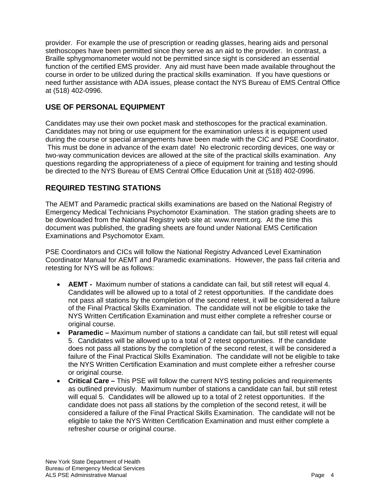provider. For example the use of prescription or reading glasses, hearing aids and personal stethoscopes have been permitted since they serve as an aid to the provider. In contrast, a Braille sphygmomanometer would not be permitted since sight is considered an essential function of the certified EMS provider. Any aid must have been made available throughout the course in order to be utilized during the practical skills examination. If you have questions or need further assistance with ADA issues, please contact the NYS Bureau of EMS Central Office at (518) 402-0996.

# **USE OF PERSONAL EQUIPMENT**

Candidates may use their own pocket mask and stethoscopes for the practical examination. Candidates may not bring or use equipment for the examination unless it is equipment used during the course or special arrangements have been made with the CIC and PSE Coordinator. This must be done in advance of the exam date! No electronic recording devices, one way or two-way communication devices are allowed at the site of the practical skills examination. Any questions regarding the appropriateness of a piece of equipment for training and testing should be directed to the NYS Bureau of EMS Central Office Education Unit at (518) 402-0996.

# **REQUIRED TESTING STATIONS**

The AEMT and Paramedic practical skills examinations are based on the National Registry of Emergency Medical Technicians Psychomotor Examination. The station grading sheets are to be downloaded from the National Registry web site at: www.nremt.org. At the time this document was published, the grading sheets are found under National EMS Certification Examinations and Psychomotor Exam.

PSE Coordinators and CICs will follow the National Registry Advanced Level Examination Coordinator Manual for AEMT and Paramedic examinations. However, the pass fail criteria and retesting for NYS will be as follows:

- **AEMT** Maximum number of stations a candidate can fail, but still retest will equal 4. Candidates will be allowed up to a total of 2 retest opportunities. If the candidate does not pass all stations by the completion of the second retest, it will be considered a failure of the Final Practical Skills Examination. The candidate will not be eligible to take the NYS Written Certification Examination and must either complete a refresher course or original course.
- **Paramedic** Maximum number of stations a candidate can fail, but still retest will equal 5. Candidates will be allowed up to a total of 2 retest opportunities. If the candidate does not pass all stations by the completion of the second retest, it will be considered a failure of the Final Practical Skills Examination. The candidate will not be eligible to take the NYS Written Certification Examination and must complete either a refresher course or original course.
- **Critical Care** This PSE will follow the current NYS testing policies and requirements as outlined previously. Maximum number of stations a candidate can fail, but still retest will equal 5. Candidates will be allowed up to a total of 2 retest opportunities. If the candidate does not pass all stations by the completion of the second retest, it will be considered a failure of the Final Practical Skills Examination. The candidate will not be eligible to take the NYS Written Certification Examination and must either complete a refresher course or original course.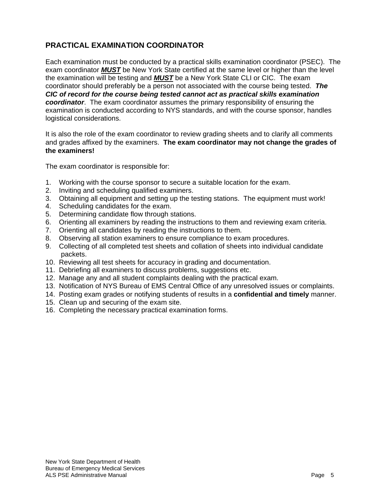# **PRACTICAL EXAMINATION COORDINATOR**

Each examination must be conducted by a practical skills examination coordinator (PSEC). The exam coordinator *MUST* be New York State certified at the same level or higher than the level the examination will be testing and *MUST* be a New York State CLI or CIC. The exam coordinator should preferably be a person not associated with the course being tested. *The CIC of record for the course being tested cannot act as practical skills examination coordinator*. The exam coordinator assumes the primary responsibility of ensuring the examination is conducted according to NYS standards, and with the course sponsor, handles logistical considerations.

It is also the role of the exam coordinator to review grading sheets and to clarify all comments and grades affixed by the examiners. **The exam coordinator may not change the grades of the examiners!**

The exam coordinator is responsible for:

- 1. Working with the course sponsor to secure a suitable location for the exam.
- 2. Inviting and scheduling qualified examiners.
- 3. Obtaining all equipment and setting up the testing stations. The equipment must work!
- 4. Scheduling candidates for the exam.
- 5. Determining candidate flow through stations.
- 6. Orienting all examiners by reading the instructions to them and reviewing exam criteria.
- 7. Orienting all candidates by reading the instructions to them.
- 8. Observing all station examiners to ensure compliance to exam procedures.
- 9. Collecting of all completed test sheets and collation of sheets into individual candidate packets.
- 10. Reviewing all test sheets for accuracy in grading and documentation.
- 11. Debriefing all examiners to discuss problems, suggestions etc.
- 12. Manage any and all student complaints dealing with the practical exam.
- 13. Notification of NYS Bureau of EMS Central Office of any unresolved issues or complaints.
- 14. Posting exam grades or notifying students of results in a **confidential and timely** manner.
- 15. Clean up and securing of the exam site.
- 16. Completing the necessary practical examination forms.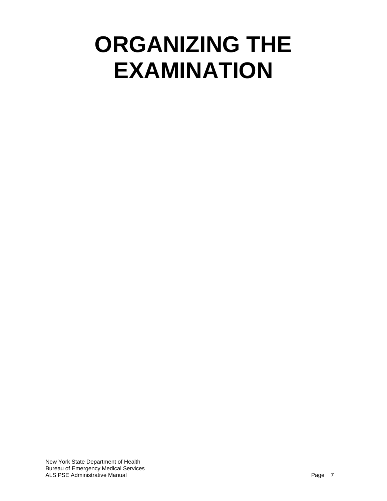# **ORGANIZING THE EXAMINATION**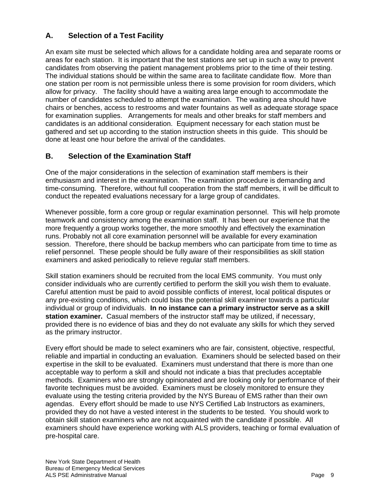# **A. Selection of a Test Facility**

An exam site must be selected which allows for a candidate holding area and separate rooms or areas for each station. It is important that the test stations are set up in such a way to prevent candidates from observing the patient management problems prior to the time of their testing. The individual stations should be within the same area to facilitate candidate flow. More than one station per room is not permissible unless there is some provision for room dividers, which allow for privacy. The facility should have a waiting area large enough to accommodate the number of candidates scheduled to attempt the examination. The waiting area should have chairs or benches, access to restrooms and water fountains as well as adequate storage space for examination supplies. Arrangements for meals and other breaks for staff members and candidates is an additional consideration. Equipment necessary for each station must be gathered and set up according to the station instruction sheets in this guide. This should be done at least one hour before the arrival of the candidates.

# **B. Selection of the Examination Staff**

One of the major considerations in the selection of examination staff members is their enthusiasm and interest in the examination. The examination procedure is demanding and time-consuming. Therefore, without full cooperation from the staff members, it will be difficult to conduct the repeated evaluations necessary for a large group of candidates.

Whenever possible, form a core group or regular examination personnel. This will help promote teamwork and consistency among the examination staff. It has been our experience that the more frequently a group works together, the more smoothly and effectively the examination runs. Probably not all core examination personnel will be available for every examination session. Therefore, there should be backup members who can participate from time to time as relief personnel. These people should be fully aware of their responsibilities as skill station examiners and asked periodically to relieve regular staff members.

Skill station examiners should be recruited from the local EMS community. You must only consider individuals who are currently certified to perform the skill you wish them to evaluate. Careful attention must be paid to avoid possible conflicts of interest, local political disputes or any pre-existing conditions, which could bias the potential skill examiner towards a particular individual or group of individuals. **In no instance can a primary instructor serve as a skill station examiner.** Casual members of the instructor staff may be utilized, if necessary, provided there is no evidence of bias and they do not evaluate any skills for which they served as the primary instructor.

Every effort should be made to select examiners who are fair, consistent, objective, respectful, reliable and impartial in conducting an evaluation. Examiners should be selected based on their expertise in the skill to be evaluated. Examiners must understand that there is more than one acceptable way to perform a skill and should not indicate a bias that precludes acceptable methods. Examiners who are strongly opinionated and are looking only for performance of their favorite techniques must be avoided. Examiners must be closely monitored to ensure they evaluate using the testing criteria provided by the NYS Bureau of EMS rather than their own agendas. Every effort should be made to use NYS Certified Lab Instructors as examiners, provided they do not have a vested interest in the students to be tested. You should work to obtain skill station examiners who are not acquainted with the candidate if possible. All examiners should have experience working with ALS providers, teaching or formal evaluation of pre-hospital care.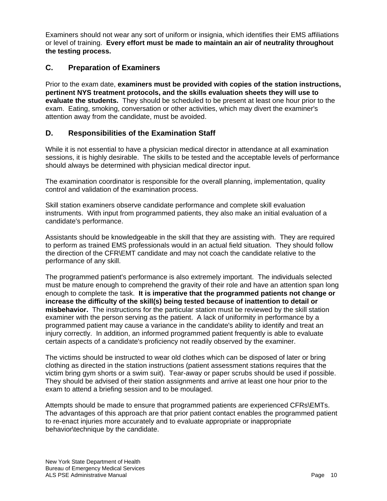Examiners should not wear any sort of uniform or insignia, which identifies their EMS affiliations or level of training. **Every effort must be made to maintain an air of neutrality throughout the testing process.**

# **C. Preparation of Examiners**

Prior to the exam date, **examiners must be provided with copies of the station instructions, pertinent NYS treatment protocols, and the skills evaluation sheets they will use to evaluate the students.** They should be scheduled to be present at least one hour prior to the exam. Eating, smoking, conversation or other activities, which may divert the examiner's attention away from the candidate, must be avoided.

# **D. Responsibilities of the Examination Staff**

While it is not essential to have a physician medical director in attendance at all examination sessions, it is highly desirable. The skills to be tested and the acceptable levels of performance should always be determined with physician medical director input.

The examination coordinator is responsible for the overall planning, implementation, quality control and validation of the examination process.

Skill station examiners observe candidate performance and complete skill evaluation instruments. With input from programmed patients, they also make an initial evaluation of a candidate's performance.

Assistants should be knowledgeable in the skill that they are assisting with. They are required to perform as trained EMS professionals would in an actual field situation. They should follow the direction of the CFR\EMT candidate and may not coach the candidate relative to the performance of any skill.

The programmed patient's performance is also extremely important. The individuals selected must be mature enough to comprehend the gravity of their role and have an attention span long enough to complete the task. **It is imperative that the programmed patients not change or increase the difficulty of the skill(s) being tested because of inattention to detail or misbehavior.** The instructions for the particular station must be reviewed by the skill station examiner with the person serving as the patient. A lack of uniformity in performance by a programmed patient may cause a variance in the candidate's ability to identify and treat an injury correctly. In addition, an informed programmed patient frequently is able to evaluate certain aspects of a candidate's proficiency not readily observed by the examiner.

The victims should be instructed to wear old clothes which can be disposed of later or bring clothing as directed in the station instructions (patient assessment stations requires that the victim bring gym shorts or a swim suit). Tear-away or paper scrubs should be used if possible. They should be advised of their station assignments and arrive at least one hour prior to the exam to attend a briefing session and to be moulaged.

Attempts should be made to ensure that programmed patients are experienced CFRs\EMTs. The advantages of this approach are that prior patient contact enables the programmed patient to re-enact injuries more accurately and to evaluate appropriate or inappropriate behavior\technique by the candidate.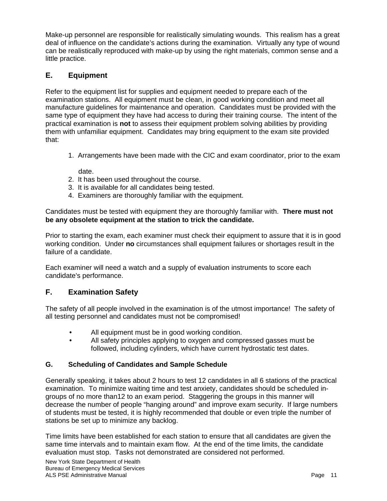Make-up personnel are responsible for realistically simulating wounds. This realism has a great deal of influence on the candidate's actions during the examination. Virtually any type of wound can be realistically reproduced with make-up by using the right materials, common sense and a little practice.

# **E. Equipment**

Refer to the equipment list for supplies and equipment needed to prepare each of the examination stations. All equipment must be clean, in good working condition and meet all manufacture guidelines for maintenance and operation. Candidates must be provided with the same type of equipment they have had access to during their training course. The intent of the practical examination is **not** to assess their equipment problem solving abilities by providing them with unfamiliar equipment. Candidates may bring equipment to the exam site provided that:

1. Arrangements have been made with the CIC and exam coordinator, prior to the exam

date.

- 2. It has been used throughout the course.
- 3. It is available for all candidates being tested.
- 4. Examiners are thoroughly familiar with the equipment.

Candidates must be tested with equipment they are thoroughly familiar with. **There must not be any obsolete equipment at the station to trick the candidate.**

Prior to starting the exam, each examiner must check their equipment to assure that it is in good working condition. Under **no** circumstances shall equipment failures or shortages result in the failure of a candidate.

Each examiner will need a watch and a supply of evaluation instruments to score each candidate's performance.

# **F. Examination Safety**

The safety of all people involved in the examination is of the utmost importance! The safety of all testing personnel and candidates must not be compromised!

- All equipment must be in good working condition.
- All safety principles applying to oxygen and compressed gasses must be followed, including cylinders, which have current hydrostatic test dates.

#### **G. Scheduling of Candidates and Sample Schedule**

Generally speaking, it takes about 2 hours to test 12 candidates in all 6 stations of the practical examination. To minimize waiting time and test anxiety, candidates should be scheduled ingroups of no more than12 to an exam period. Staggering the groups in this manner will decrease the number of people "hanging around" and improve exam security. If large numbers of students must be tested, it is highly recommended that double or even triple the number of stations be set up to minimize any backlog.

Time limits have been established for each station to ensure that all candidates are given the same time intervals and to maintain exam flow. At the end of the time limits, the candidate evaluation must stop. Tasks not demonstrated are considered not performed.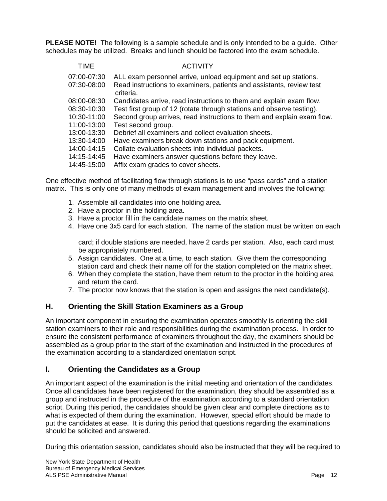**PLEASE NOTE!** The following is a sample schedule and is only intended to be a guide. Other schedules may be utilized. Breaks and lunch should be factored into the exam schedule.

| TIME        | <b>ACTIVITY</b>                                                                   |
|-------------|-----------------------------------------------------------------------------------|
| 07:00-07:30 | ALL exam personnel arrive, unload equipment and set up stations.                  |
| 07:30-08:00 | Read instructions to examiners, patients and assistants, review test<br>criteria. |
| 08:00-08:30 | Candidates arrive, read instructions to them and explain exam flow.               |
| 08:30-10:30 | Test first group of 12 (rotate through stations and observe testing).             |
| 10:30-11:00 | Second group arrives, read instructions to them and explain exam flow.            |
| 11:00-13:00 | Test second group.                                                                |
| 13:00-13:30 | Debrief all examiners and collect evaluation sheets.                              |
| 13:30-14:00 | Have examiners break down stations and pack equipment.                            |
| 14:00-14:15 | Collate evaluation sheets into individual packets.                                |
| 14:15-14:45 | Have examiners answer questions before they leave.                                |
| 14:45-15:00 | Affix exam grades to cover sheets.                                                |

One effective method of facilitating flow through stations is to use "pass cards" and a station matrix. This is only one of many methods of exam management and involves the following:

- 1. Assemble all candidates into one holding area.
- 2. Have a proctor in the holding area.
- 3. Have a proctor fill in the candidate names on the matrix sheet.
- 4. Have one 3x5 card for each station. The name of the station must be written on each

 card; if double stations are needed, have 2 cards per station. Also, each card must be appropriately numbered.

- 5. Assign candidates. One at a time, to each station. Give them the corresponding station card and check their name off for the station completed on the matrix sheet.
- 6. When they complete the station, have them return to the proctor in the holding area and return the card.
- 7. The proctor now knows that the station is open and assigns the next candidate(s).

# **H. Orienting the Skill Station Examiners as a Group**

An important component in ensuring the examination operates smoothly is orienting the skill station examiners to their role and responsibilities during the examination process. In order to ensure the consistent performance of examiners throughout the day, the examiners should be assembled as a group prior to the start of the examination and instructed in the procedures of the examination according to a standardized orientation script.

# **I. Orienting the Candidates as a Group**

An important aspect of the examination is the initial meeting and orientation of the candidates. Once all candidates have been registered for the examination, they should be assembled as a group and instructed in the procedure of the examination according to a standard orientation script. During this period, the candidates should be given clear and complete directions as to what is expected of them during the examination. However, special effort should be made to put the candidates at ease. It is during this period that questions regarding the examinations should be solicited and answered.

During this orientation session, candidates should also be instructed that they will be required to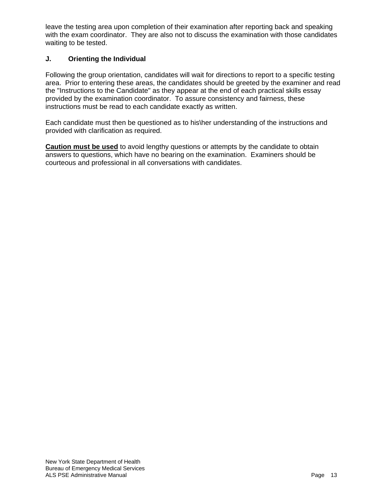leave the testing area upon completion of their examination after reporting back and speaking with the exam coordinator. They are also not to discuss the examination with those candidates waiting to be tested.

### **J. Orienting the Individual**

Following the group orientation, candidates will wait for directions to report to a specific testing area. Prior to entering these areas, the candidates should be greeted by the examiner and read the "Instructions to the Candidate" as they appear at the end of each practical skills essay provided by the examination coordinator. To assure consistency and fairness, these instructions must be read to each candidate exactly as written.

Each candidate must then be questioned as to his\her understanding of the instructions and provided with clarification as required.

**Caution must be used** to avoid lengthy questions or attempts by the candidate to obtain answers to questions, which have no bearing on the examination. Examiners should be courteous and professional in all conversations with candidates.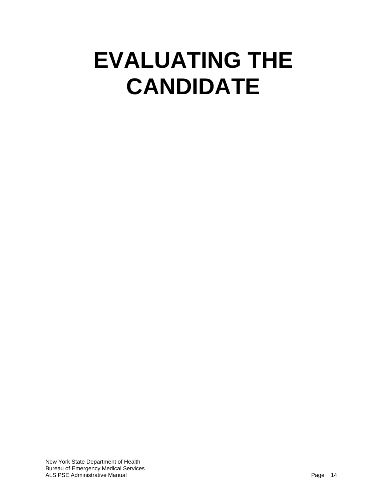# **EVALUATING THE CANDIDATE**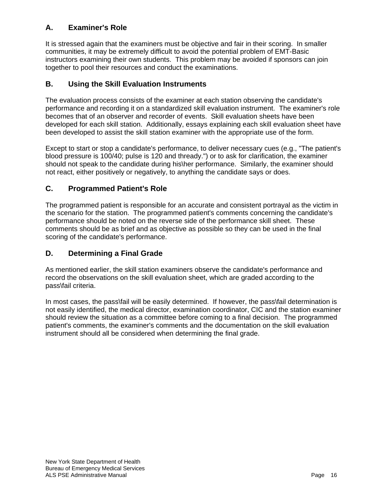# **A. Examiner's Role**

It is stressed again that the examiners must be objective and fair in their scoring. In smaller communities, it may be extremely difficult to avoid the potential problem of EMT-Basic instructors examining their own students. This problem may be avoided if sponsors can join together to pool their resources and conduct the examinations.

# **B. Using the Skill Evaluation Instruments**

The evaluation process consists of the examiner at each station observing the candidate's performance and recording it on a standardized skill evaluation instrument. The examiner's role becomes that of an observer and recorder of events. Skill evaluation sheets have been developed for each skill station. Additionally, essays explaining each skill evaluation sheet have been developed to assist the skill station examiner with the appropriate use of the form.

Except to start or stop a candidate's performance, to deliver necessary cues (e.g., "The patient's blood pressure is 100/40; pulse is 120 and thready.") or to ask for clarification, the examiner should not speak to the candidate during his\her performance. Similarly, the examiner should not react, either positively or negatively, to anything the candidate says or does.

# **C. Programmed Patient's Role**

The programmed patient is responsible for an accurate and consistent portrayal as the victim in the scenario for the station. The programmed patient's comments concerning the candidate's performance should be noted on the reverse side of the performance skill sheet. These comments should be as brief and as objective as possible so they can be used in the final scoring of the candidate's performance.

# **D. Determining a Final Grade**

As mentioned earlier, the skill station examiners observe the candidate's performance and record the observations on the skill evaluation sheet, which are graded according to the pass\fail criteria.

In most cases, the pass\fail will be easily determined. If however, the pass\fail determination is not easily identified, the medical director, examination coordinator, CIC and the station examiner should review the situation as a committee before coming to a final decision. The programmed patient's comments, the examiner's comments and the documentation on the skill evaluation instrument should all be considered when determining the final grade.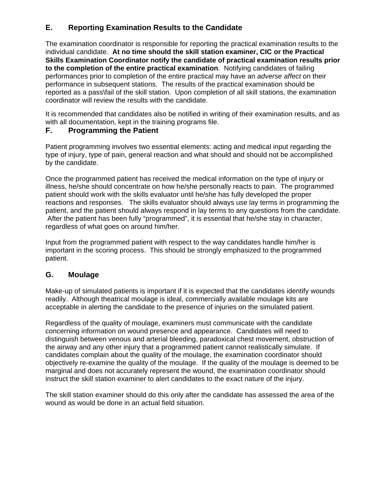# **E. Reporting Examination Results to the Candidate**

The examination coordinator is responsible for reporting the practical examination results to the individual candidate. **At no time should the skill station examiner, CIC or the Practical Skills Examination Coordinator notify the candidate of practical examination results prior to the completion of the entire practical examination**. Notifying candidates of failing performances prior to completion of the entire practical may have an *adverse affect* on their performance in subsequent stations. The results of the practical examination should be reported as a pass\fail of the skill station. Upon completion of all skill stations, the examination coordinator will review the results with the candidate.

It is recommended that candidates also be notified in writing of their examination results, and as with all documentation, kept in the training programs file.

# **F. Programming the Patient**

Patient programming involves two essential elements: acting and medical input regarding the type of injury, type of pain, general reaction and what should and should not be accomplished by the candidate.

Once the programmed patient has received the medical information on the type of injury or illness, he/she should concentrate on how he/she personally reacts to pain. The programmed patient should work with the skills evaluator until he/she has fully developed the proper reactions and responses. The skills evaluator should always use lay terms in programming the patient, and the patient should always respond in lay terms to any questions from the candidate. After the patient has been fully "programmed", it is essential that he/she stay in character, regardless of what goes on around him/her.

Input from the programmed patient with respect to the way candidates handle him/her is important in the scoring process. This should be strongly emphasized to the programmed patient.

# **G. Moulage**

Make-up of simulated patients is important if it is expected that the candidates identify wounds readily. Although theatrical moulage is ideal, commercially available moulage kits are acceptable in alerting the candidate to the presence of injuries on the simulated patient.

Regardless of the quality of moulage, examiners must communicate with the candidate concerning information on wound presence and appearance. Candidates will need to distinguish between venous and arterial bleeding, paradoxical chest movement, obstruction of the airway and any other injury that a programmed patient cannot realistically simulate. If candidates complain about the quality of the moulage, the examination coordinator should objectively re-examine the quality of the moulage. If the quality of the moulage is deemed to be marginal and does not accurately represent the wound, the examination coordinator should instruct the skill station examiner to alert candidates to the exact nature of the injury.

The skill station examiner should do this only after the candidate has assessed the area of the wound as would be done in an actual field situation.